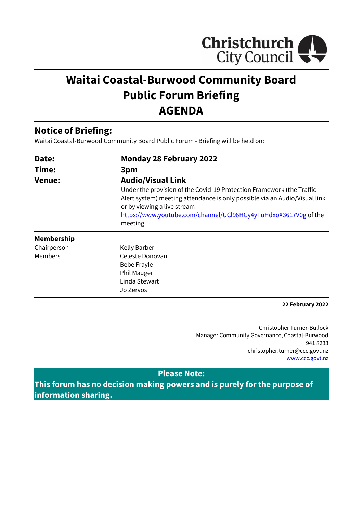

# **Waitai Coastal-Burwood Community Board Public Forum Briefing AGENDA**

## **Notice of Briefing:**

Waitai Coastal-Burwood Community Board Public Forum - Briefing will be held on:

Jo Zervos

| Date:             | <b>Monday 28 February 2022</b>                                                                                                                                                                                                                                    |  |  |
|-------------------|-------------------------------------------------------------------------------------------------------------------------------------------------------------------------------------------------------------------------------------------------------------------|--|--|
| Time:             | 3pm<br><b>Audio/Visual Link</b>                                                                                                                                                                                                                                   |  |  |
| <b>Venue:</b>     |                                                                                                                                                                                                                                                                   |  |  |
|                   | Under the provision of the Covid-19 Protection Framework (the Traffic<br>Alert system) meeting attendance is only possible via an Audio/Visual link<br>or by viewing a live stream<br>https://www.youtube.com/channel/UCl96HGy4yTuHdxoX3617V0g of the<br>meeting. |  |  |
| <b>Membership</b> |                                                                                                                                                                                                                                                                   |  |  |
| Chairperson       | Kelly Barber                                                                                                                                                                                                                                                      |  |  |
| Members           | Celeste Donovan                                                                                                                                                                                                                                                   |  |  |
|                   | Bebe Frayle                                                                                                                                                                                                                                                       |  |  |
|                   | <b>Phil Mauger</b>                                                                                                                                                                                                                                                |  |  |
|                   | Linda Stewart                                                                                                                                                                                                                                                     |  |  |

**22 February 2022**

Christopher Turner-Bullock Manager Community Governance, Coastal-Burwood 941 8233 christopher.turner@ccc.govt.nz [www.ccc.govt.nz](http://www.ccc.govt.nz/)

#### **Please Note:**

**This forum has no decision making powers and is purely for the purpose of information sharing.**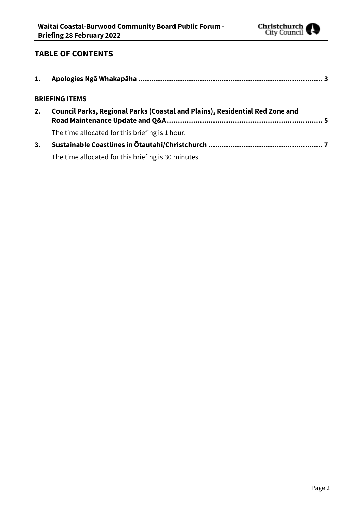

### **TABLE OF CONTENTS**

| 1. |                                                                              |
|----|------------------------------------------------------------------------------|
|    | <b>BRIEFING ITEMS</b>                                                        |
| 2. | Council Parks, Regional Parks (Coastal and Plains), Residential Red Zone and |
|    | The time allocated for this briefing is 1 hour.                              |
| 3. |                                                                              |
|    | The time allocated for this briefing is 30 minutes.                          |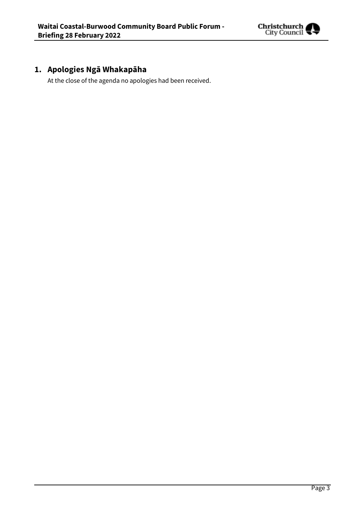

# <span id="page-2-0"></span>**1. Apologies Ngā Whakapāha**

At the close of the agenda no apologies had been received.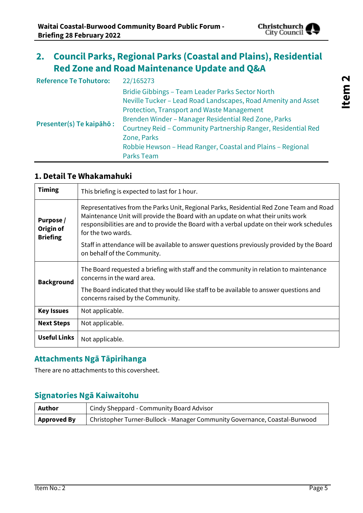

# <span id="page-4-0"></span>**2. Council Parks, Regional Parks (Coastal and Plains), Residential Red Zone and Road Maintenance Update and Q&A**

| <b>Reference Te Tohutoro:</b> | 22/165273                                                                                                                                                                                                                                                                                                                                                                                  |
|-------------------------------|--------------------------------------------------------------------------------------------------------------------------------------------------------------------------------------------------------------------------------------------------------------------------------------------------------------------------------------------------------------------------------------------|
| Presenter(s) Te kaipāhō:      | Bridie Gibbings - Team Leader Parks Sector North<br>Neville Tucker - Lead Road Landscapes, Road Amenity and Asset<br>Protection, Transport and Waste Management<br>Brenden Winder - Manager Residential Red Zone, Parks<br>Courtney Reid - Community Partnership Ranger, Residential Red<br>Zone, Parks<br>Robbie Hewson - Head Ranger, Coastal and Plains - Regional<br><b>Parks Team</b> |

#### **1. Detail Te Whakamahuki**

| <b>Timing</b>                             | This briefing is expected to last for 1 hour.                                                                                                                                                                                                                                                                                                                                                                               |
|-------------------------------------------|-----------------------------------------------------------------------------------------------------------------------------------------------------------------------------------------------------------------------------------------------------------------------------------------------------------------------------------------------------------------------------------------------------------------------------|
| Purpose /<br>Origin of<br><b>Briefing</b> | Representatives from the Parks Unit, Regional Parks, Residential Red Zone Team and Road<br>Maintenance Unit will provide the Board with an update on what their units work<br>responsibilities are and to provide the Board with a verbal update on their work schedules<br>for the two wards.<br>Staff in attendance will be available to answer questions previously provided by the Board<br>on behalf of the Community. |
| <b>Background</b>                         | The Board requested a briefing with staff and the community in relation to maintenance<br>concerns in the ward area.                                                                                                                                                                                                                                                                                                        |
|                                           | The Board indicated that they would like staff to be available to answer questions and<br>concerns raised by the Community.                                                                                                                                                                                                                                                                                                 |
| <b>Key Issues</b>                         | Not applicable.                                                                                                                                                                                                                                                                                                                                                                                                             |
| <b>Next Steps</b>                         | Not applicable.                                                                                                                                                                                                                                                                                                                                                                                                             |
| <b>Useful Links</b>                       | Not applicable.                                                                                                                                                                                                                                                                                                                                                                                                             |

## **Attachments Ngā Tāpirihanga**

There are no attachments to this coversheet.

### **Signatories Ngā Kaiwaitohu**

| Author             | <sup>1</sup> Cindy Sheppard - Community Board Advisor                      |
|--------------------|----------------------------------------------------------------------------|
| <b>Approved By</b> | Christopher Turner-Bullock - Manager Community Governance, Coastal-Burwood |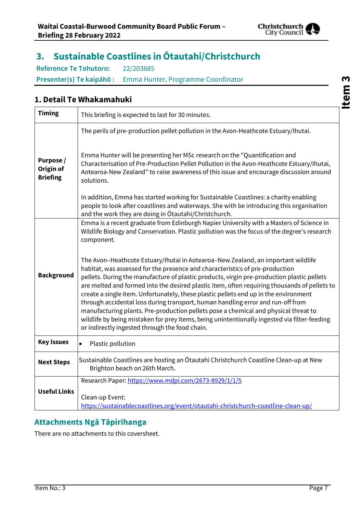

# <span id="page-6-0"></span>**3. Sustainable Coastlines in Ōtautahi/Christchurch**

**Reference Te Tohutoro:** 22/203685 **Presenter(s) Te kaipāhō :** Emma Hunter, Programme Coordinator

#### **1. Detail Te Whakamahuki**

| <b>Timing</b>                             | This briefing is expected to last for 30 minutes.                                                                                                                                                                                                                                                                                                                                                                                                                                                                                                                                                                                                                                                                                                                                  |
|-------------------------------------------|------------------------------------------------------------------------------------------------------------------------------------------------------------------------------------------------------------------------------------------------------------------------------------------------------------------------------------------------------------------------------------------------------------------------------------------------------------------------------------------------------------------------------------------------------------------------------------------------------------------------------------------------------------------------------------------------------------------------------------------------------------------------------------|
|                                           | The perils of pre-production pellet pollution in the Avon-Heathcote Estuary/Ihutai.                                                                                                                                                                                                                                                                                                                                                                                                                                                                                                                                                                                                                                                                                                |
| Purpose /<br>Origin of<br><b>Briefing</b> | Emma Hunter will be presenting her MSc research on the "Quantification and<br>Characterisation of Pre-Production Pellet Pollution in the Avon-Heathcote Estuary/Ihutai,<br>Aotearoa-New Zealand" to raise awareness of this issue and encourage discussion around<br>solutions.                                                                                                                                                                                                                                                                                                                                                                                                                                                                                                    |
|                                           | In addition, Emma has started working for Sustainable Coastlines: a charity enabling<br>people to look after coastlines and waterways. She with be introducing this organisation<br>and the work they are doing in Otautahi/Christchurch.                                                                                                                                                                                                                                                                                                                                                                                                                                                                                                                                          |
|                                           | Emma is a recent graduate from Edinburgh Napier University with a Masters of Science in<br>Wildlife Biology and Conservation. Plastic pollution was the focus of the degree's research<br>component.                                                                                                                                                                                                                                                                                                                                                                                                                                                                                                                                                                               |
| <b>Background</b>                         | The Avon-Heathcote Estuary/Ihutai in Aotearoa-New Zealand, an important wildlife<br>habitat, was assessed for the presence and characteristics of pre-production<br>pellets. During the manufacture of plastic products, virgin pre-production plastic pellets<br>are melted and formed into the desired plastic item, often requiring thousands of pellets to<br>create a single item. Unfortunately, these plastic pellets end up in the environment<br>through accidental loss during transport, human handling error and run-off from<br>manufacturing plants. Pre-production pellets pose a chemical and physical threat to<br>wildlife by being mistaken for prey items, being unintentionally ingested via filter-feeding<br>or indirectly ingested through the food chain. |
| <b>Key Issues</b>                         | Plastic pollution<br>$\bullet$                                                                                                                                                                                                                                                                                                                                                                                                                                                                                                                                                                                                                                                                                                                                                     |
| <b>Next Steps</b>                         | Sustainable Coastlines are hosting an Ōtautahi Christchurch Coastline Clean-up at New<br>Brighton beach on 26th March.                                                                                                                                                                                                                                                                                                                                                                                                                                                                                                                                                                                                                                                             |
| <b>Useful Links</b>                       | Research Paper: https://www.mdpi.com/2673-8929/1/1/5<br>Clean-up Event:<br>https://sustainablecoastlines.org/event/otautahi-christchurch-coastline-clean-up/                                                                                                                                                                                                                                                                                                                                                                                                                                                                                                                                                                                                                       |

## **Attachments Ngā Tāpirihanga**

There are no attachments to this coversheet.